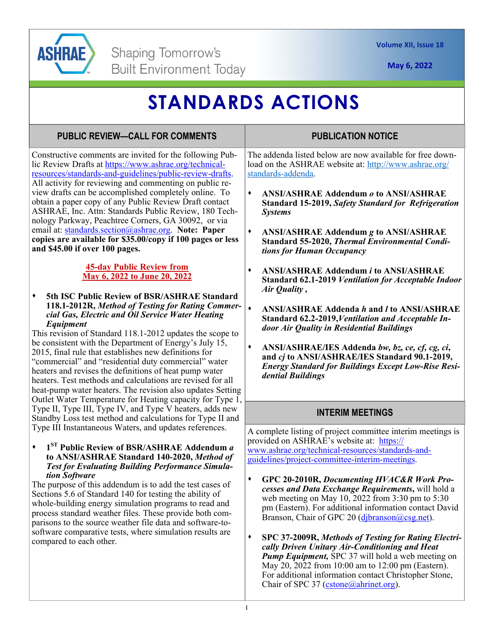

compared to each other.

**May 6, 2022** 

## **STANDARDS ACTIONS**

## Constructive comments are invited for the following Public Review Drafts at https://www.ashrae.org/technicalresources/standards-and-guidelines/public-review-drafts. All activity for reviewing and commenting on public review drafts can be accomplished completely online. To obtain a paper copy of any Public Review Draft contact ASHRAE, Inc. Attn: Standards Public Review, 180 Technology Parkway, Peachtree Corners, GA 30092, or via email at: standards.section@ashrae.org. **Note: Paper copies are available for \$35.00/copy if 100 pages or less and \$45.00 if over 100 pages. 45-day Public Review from May 6, 2022 to June 20, 2022 5th ISC Public Review of BSR/ASHRAE Standard 118.1-2012R,** *Method of Testing for Rating Commercial Gas, Electric and Oil Service Water Heating Equipment*  This revision of Standard 118.1-2012 updates the scope to be consistent with the Department of Energy's July 15, 2015, final rule that establishes new definitions for "commercial" and "residential duty commercial" water heaters and revises the definitions of heat pump water heaters. Test methods and calculations are revised for all heat-pump water heaters. The revision also updates Setting Outlet Water Temperature for Heating capacity for Type 1, Type II, Type III, Type IV, and Type V heaters, adds new Standby Loss test method and calculations for Type II and Type III Instantaneous Waters, and updates references. **1ST Public Review of BSR/ASHRAE Addendum** *a*  **to ANSI/ASHRAE Standard 140-2020,** *Method of Test for Evaluating Building Performance Simulation Software*  The purpose of this addendum is to add the test cases of Sections 5.6 of Standard 140 for testing the ability of whole-building energy simulation programs to read and process standard weather files. These provide both comparisons to the source weather file data and software-tosoftware comparative tests, where simulation results are **PUBLIC REVIEW—CALL FOR COMMENTS**  The addenda listed below are now available for free download on the ASHRAE website at: http://www.ashrae.org/ standards-addenda. **ANSI/ASHRAE Addendum** *o* **to ANSI/ASHRAE Standard 15-2019,** *Safety Standard for Refrigeration Systems*  **ANSI/ASHRAE Addendum** *g* **to ANSI/ASHRAE Standard 55-2020,** *Thermal Environmental Conditions for Human Occupancy*  **ANSI/ASHRAE Addendum** *i* **to ANSI/ASHRAE Standard 62.1-2019** *Ventilation for Acceptable Indoor Air Quality ,*  **ANSI/ASHRAE Addenda** *h* **and** *l* **to ANSI/ASHRAE Standard 62.2-2019,***Ventilation and Acceptable Indoor Air Quality in Residential Buildings*  **ANSI/ASHRAE/IES Addenda** *bw, bz, ce, cf, cg, ci***, and** *cj* **to ANSI/ASHRAE/IES Standard 90.1-2019,**  *Energy Standard for Buildings Except Low-Rise Residential Buildings*  **PUBLICATION NOTICE**  A complete listing of project committee interim meetings is provided on ASHRAE's website at: https:// www.ashrae.org/technical-resources/standards-andguidelines/project-committee-interim-meetings. **GPC 20-2010R,** *Documenting HVAC&R Work Processes and Data Exchange Requirements***,** will hold a web meeting on May 10, 2022 from 3:30 pm to 5:30 pm (Eastern). For additional information contact David Branson, Chair of GPC 20 (djbranson@csg.net). **INTERIM MEETINGS**

**SPC 37-2009R,** *Methods of Testing for Rating Electrically Driven Unitary Air-Conditioning and Heat Pump Equipment,* SPC 37 will hold a web meeting on May 20, 2022 from 10:00 am to 12:00 pm (Eastern). For additional information contact Christopher Stone, Chair of SPC 37 (cstone@ahrinet.org).